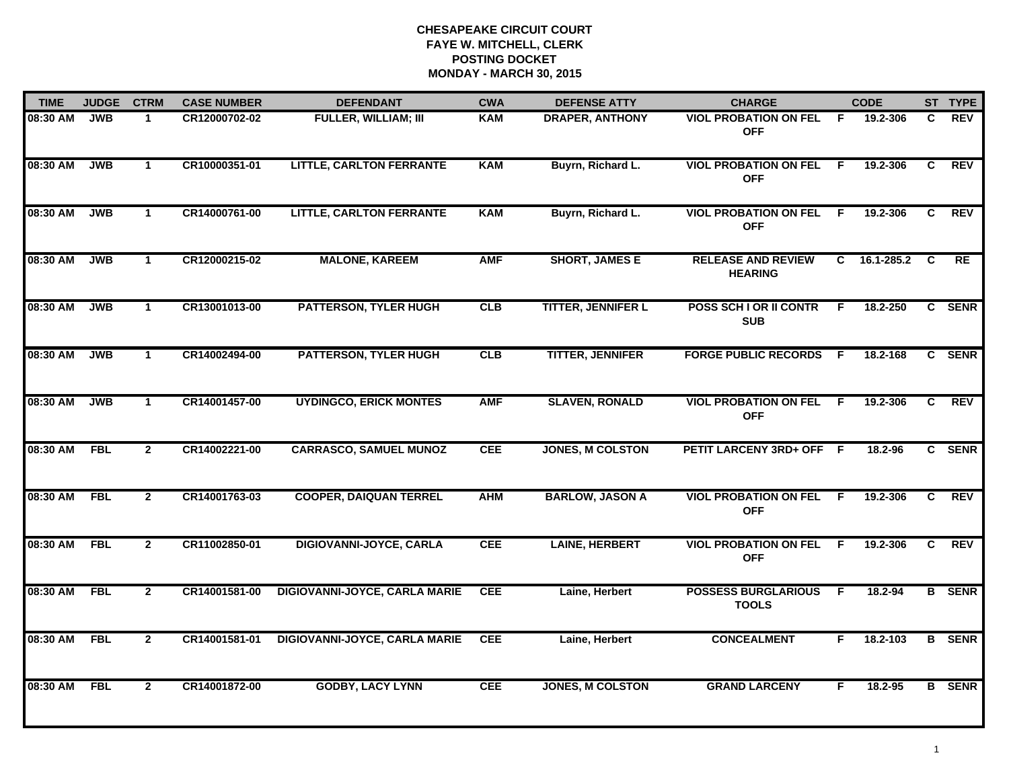| <b>TIME</b> | <b>JUDGE</b> | <b>CTRM</b>    | <b>CASE NUMBER</b> | <b>DEFENDANT</b>                     | <b>CWA</b> | <b>DEFENSE ATTY</b>       | <b>CHARGE</b>                               |                | <b>CODE</b> |                | ST TYPE       |
|-------------|--------------|----------------|--------------------|--------------------------------------|------------|---------------------------|---------------------------------------------|----------------|-------------|----------------|---------------|
| 08:30 AM    | <b>JWB</b>   | $\mathbf 1$    | CR12000702-02      | <b>FULLER, WILLIAM; III</b>          | <b>KAM</b> | <b>DRAPER, ANTHONY</b>    | <b>VIOL PROBATION ON FEL</b><br><b>OFF</b>  | - F            | 19.2-306    | C.             | REV           |
| 08:30 AM    | <b>JWB</b>   | $\mathbf{1}$   | CR10000351-01      | <b>LITTLE, CARLTON FERRANTE</b>      | <b>KAM</b> | Buyrn, Richard L.         | <b>VIOL PROBATION ON FEL</b><br><b>OFF</b>  | $\mathsf{F}$   | 19.2-306    | C              | REV           |
| 08:30 AM    | <b>JWB</b>   | $\mathbf{1}$   | CR14000761-00      | <b>LITTLE, CARLTON FERRANTE</b>      | <b>KAM</b> | Buyrn, Richard L.         | <b>VIOL PROBATION ON FEL</b><br><b>OFF</b>  | -F             | 19.2-306    | C              | <b>REV</b>    |
| 08:30 AM    | <b>JWB</b>   | 1              | CR12000215-02      | <b>MALONE, KAREEM</b>                | <b>AMF</b> | <b>SHORT, JAMES E</b>     | <b>RELEASE AND REVIEW</b><br><b>HEARING</b> | C.             | 16.1-285.2  | C              | RE            |
| 08:30 AM    | <b>JWB</b>   | $\mathbf{1}$   | CR13001013-00      | <b>PATTERSON, TYLER HUGH</b>         | CLB        | <b>TITTER, JENNIFER L</b> | POSS SCH I OR II CONTR<br><b>SUB</b>        | F.             | 18.2-250    |                | C SENR        |
| 08:30 AM    | <b>JWB</b>   | $\mathbf{1}$   | CR14002494-00      | <b>PATTERSON, TYLER HUGH</b>         | CLB        | <b>TITTER, JENNIFER</b>   | <b>FORGE PUBLIC RECORDS F</b>               |                | 18.2-168    |                | C SENR        |
| 08:30 AM    | <b>JWB</b>   | $\mathbf{1}$   | CR14001457-00      | <b>UYDINGCO, ERICK MONTES</b>        | <b>AMF</b> | <b>SLAVEN, RONALD</b>     | <b>VIOL PROBATION ON FEL</b><br><b>OFF</b>  | $\overline{F}$ | 19.2-306    | $\overline{c}$ | REV           |
| 08:30 AM    | <b>FBL</b>   | $\overline{2}$ | CR14002221-00      | <b>CARRASCO, SAMUEL MUNOZ</b>        | <b>CEE</b> | <b>JONES, M COLSTON</b>   | PETIT LARCENY 3RD+ OFF F                    |                | 18.2-96     |                | C SENR        |
| 08:30 AM    | <b>FBL</b>   | $\overline{2}$ | CR14001763-03      | <b>COOPER, DAIQUAN TERREL</b>        | <b>AHM</b> | <b>BARLOW, JASON A</b>    | <b>VIOL PROBATION ON FEL</b><br><b>OFF</b>  | -F             | 19.2-306    | C              | <b>REV</b>    |
| 08:30 AM    | <b>FBL</b>   | $\mathbf{2}$   | CR11002850-01      | DIGIOVANNI-JOYCE, CARLA              | <b>CEE</b> | <b>LAINE, HERBERT</b>     | <b>VIOL PROBATION ON FEL</b><br><b>OFF</b>  | -F             | 19.2-306    | C              | <b>REV</b>    |
| 08:30 AM    | <b>FBL</b>   | $\overline{2}$ | CR14001581-00      | <b>DIGIOVANNI-JOYCE, CARLA MARIE</b> | <b>CEE</b> | Laine, Herbert            | <b>POSSESS BURGLARIOUS</b><br><b>TOOLS</b>  | F.             | 18.2-94     |                | <b>B</b> SENR |
| 08:30 AM    | <b>FBL</b>   | $\overline{2}$ | CR14001581-01      | <b>DIGIOVANNI-JOYCE, CARLA MARIE</b> | <b>CEE</b> | Laine, Herbert            | <b>CONCEALMENT</b>                          | F.             | 18.2-103    |                | <b>B</b> SENR |
| 08:30 AM    | <b>FBL</b>   | $\mathbf{2}$   | CR14001872-00      | <b>GODBY, LACY LYNN</b>              | CEE        | <b>JONES, M COLSTON</b>   | <b>GRAND LARCENY</b>                        | F              | 18.2-95     |                | <b>B</b> SENR |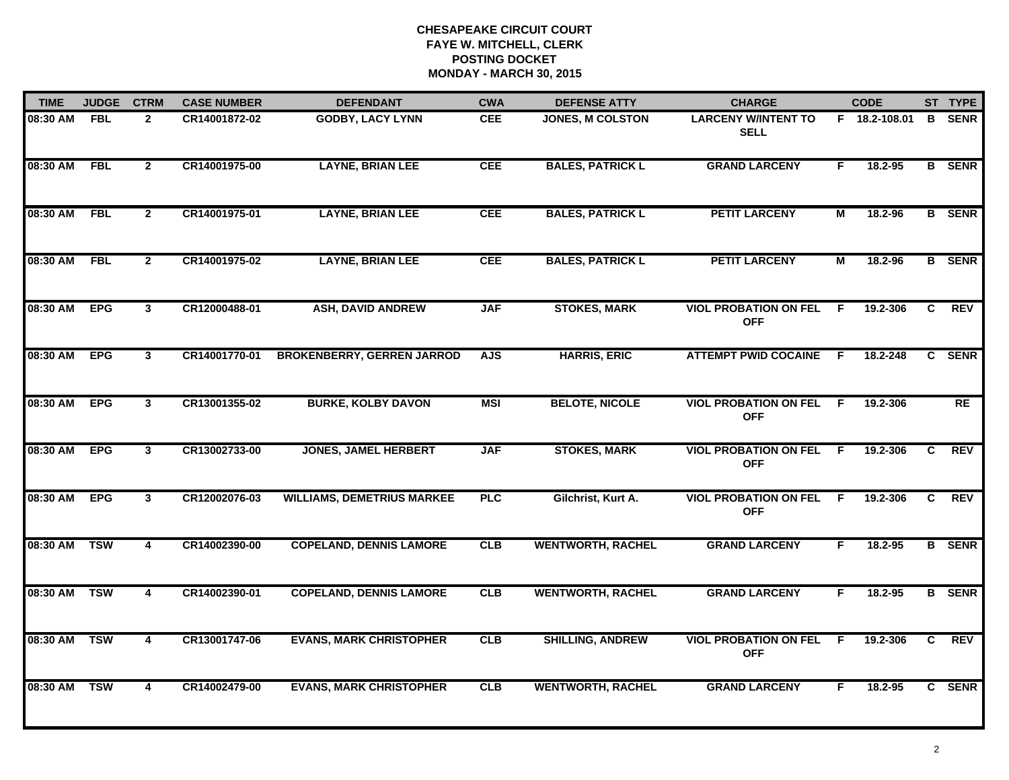| <b>TIME</b>  | <b>JUDGE</b> | <b>CTRM</b>             | <b>CASE NUMBER</b> | <b>DEFENDANT</b>                  | <b>CWA</b>                        | <b>DEFENSE ATTY</b>      | <b>CHARGE</b>                              |     | <b>CODE</b>   |                | ST TYPE       |
|--------------|--------------|-------------------------|--------------------|-----------------------------------|-----------------------------------|--------------------------|--------------------------------------------|-----|---------------|----------------|---------------|
| 08:30 AM     | <b>FBL</b>   | $\overline{2}$          | CR14001872-02      | <b>GODBY, LACY LYNN</b>           | <b>CEE</b>                        | <b>JONES, M COLSTON</b>  | <b>LARCENY W/INTENT TO</b><br><b>SELL</b>  |     | F 18.2-108.01 |                | <b>B</b> SENR |
| 08:30 AM     | <b>FBL</b>   | $\overline{2}$          | CR14001975-00      | <b>LAYNE, BRIAN LEE</b>           | <b>CEE</b>                        | <b>BALES, PATRICK L</b>  | <b>GRAND LARCENY</b>                       | F.  | 18.2-95       |                | <b>B</b> SENR |
| 08:30 AM     | <b>FBL</b>   | $\overline{2}$          | CR14001975-01      | <b>LAYNE, BRIAN LEE</b>           | <b>CEE</b>                        | <b>BALES, PATRICK L</b>  | <b>PETIT LARCENY</b>                       | М   | 18.2-96       |                | <b>B</b> SENR |
| 08:30 AM     | <b>FBL</b>   | $\mathbf{2}$            | CR14001975-02      | <b>LAYNE, BRIAN LEE</b>           | <b>CEE</b>                        | <b>BALES, PATRICK L</b>  | <b>PETIT LARCENY</b>                       | М   | 18.2-96       |                | <b>B</b> SENR |
| 08:30 AM     | <b>EPG</b>   | 3                       | CR12000488-01      | <b>ASH, DAVID ANDREW</b>          | <b>STOKES, MARK</b><br><b>JAF</b> |                          | <b>VIOL PROBATION ON FEL</b><br><b>OFF</b> | F.  | 19.2-306      | C.             | <b>REV</b>    |
| 08:30 AM     | <b>EPG</b>   | $\mathbf{3}$            | CR14001770-01      | <b>BROKENBERRY, GERREN JARROD</b> | <b>AJS</b>                        | <b>HARRIS, ERIC</b>      | <b>ATTEMPT PWID COCAINE</b>                | - F | 18.2-248      |                | C SENR        |
| 08:30 AM     | <b>EPG</b>   | $\overline{\mathbf{3}}$ | CR13001355-02      | <b>BURKE, KOLBY DAVON</b>         | <b>MSI</b>                        | <b>BELOTE, NICOLE</b>    | <b>VIOL PROBATION ON FEL</b><br><b>OFF</b> | - F | 19.2-306      |                | RE            |
| 08:30 AM     | <b>EPG</b>   | $\overline{3}$          | CR13002733-00      | <b>JONES, JAMEL HERBERT</b>       | <b>JAF</b>                        | <b>STOKES, MARK</b>      | <b>VIOL PROBATION ON FEL</b><br><b>OFF</b> | E   | 19.2-306      | $\overline{c}$ | <b>REV</b>    |
| 08:30 AM     | <b>EPG</b>   | 3                       | CR12002076-03      | <b>WILLIAMS, DEMETRIUS MARKEE</b> | <b>PLC</b>                        | Gilchrist, Kurt A.       | <b>VIOL PROBATION ON FEL</b><br><b>OFF</b> | F.  | 19.2-306      | C.             | <b>REV</b>    |
| 08:30 AM     | <b>TSW</b>   | 4                       | CR14002390-00      | <b>COPELAND, DENNIS LAMORE</b>    | CLB                               | <b>WENTWORTH, RACHEL</b> | <b>GRAND LARCENY</b>                       | F.  | $18.2 - 95$   |                | <b>B</b> SENR |
| 08:30 AM TSW |              | 4                       | CR14002390-01      | <b>COPELAND, DENNIS LAMORE</b>    | <b>CLB</b>                        | <b>WENTWORTH, RACHEL</b> | <b>GRAND LARCENY</b>                       | F.  | $18.2 - 95$   |                | <b>B</b> SENR |
| 08:30 AM     | <b>TSW</b>   | 4                       | CR13001747-06      | <b>EVANS, MARK CHRISTOPHER</b>    | CLB                               | <b>SHILLING, ANDREW</b>  | <b>VIOL PROBATION ON FEL</b><br><b>OFF</b> | -F  | 19.2-306      | C              | REV           |
| 08:30 AM     | <b>TSW</b>   | $\overline{\mathbf{4}}$ | CR14002479-00      | <b>EVANS, MARK CHRISTOPHER</b>    | CLB                               | <b>WENTWORTH, RACHEL</b> | <b>GRAND LARCENY</b>                       | F.  | 18.2-95       |                | C SENR        |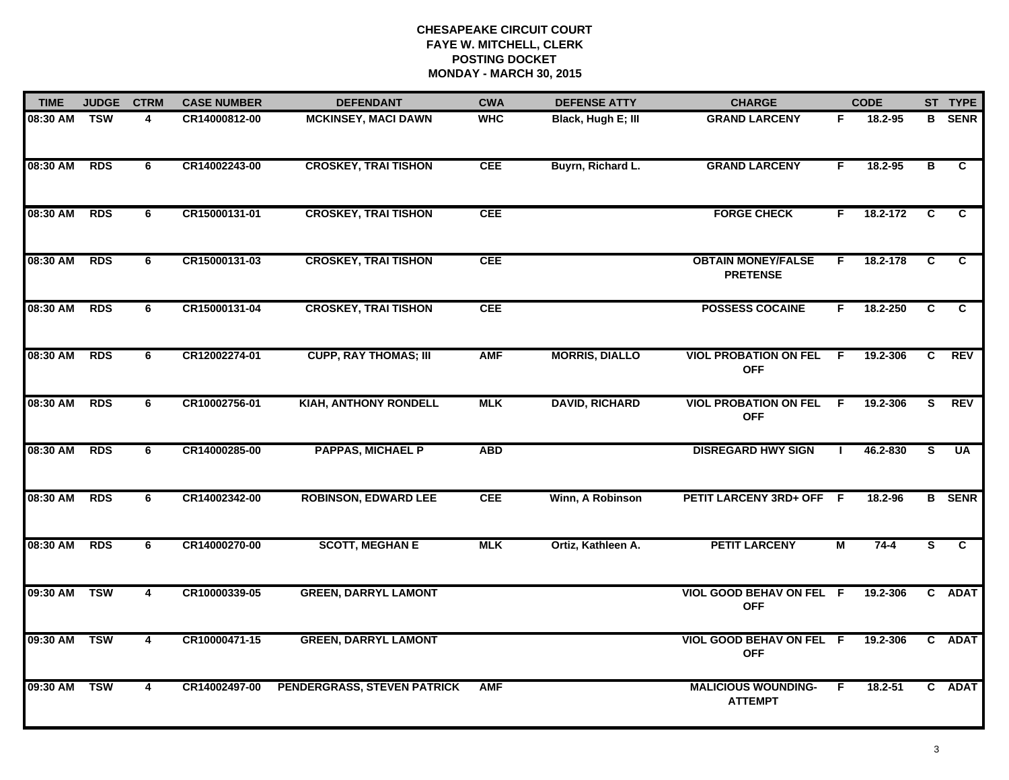| <b>TIME</b>  | <b>JUDGE</b> | <b>CTRM</b> | <b>CASE NUMBER</b> | <b>DEFENDANT</b>             | <b>CWA</b> | <b>DEFENSE ATTY</b>   | <b>CHARGE</b>                                | <b>CODE</b> |             |                | ST TYPE        |
|--------------|--------------|-------------|--------------------|------------------------------|------------|-----------------------|----------------------------------------------|-------------|-------------|----------------|----------------|
| 08:30 AM     | <b>TSW</b>   | 4           | CR14000812-00      | <b>MCKINSEY, MACI DAWN</b>   | <b>WHC</b> | Black, Hugh E; III    | <b>GRAND LARCENY</b>                         | F           | 18.2-95     |                | <b>B</b> SENR  |
| 08:30 AM RDS |              | 6           | CR14002243-00      | <b>CROSKEY, TRAI TISHON</b>  | <b>CEE</b> | Buyrn, Richard L.     | <b>GRAND LARCENY</b>                         | F           | 18.2-95     | в              | C.             |
| 08:30 AM     | <b>RDS</b>   | 6           | CR15000131-01      | <b>CROSKEY, TRAI TISHON</b>  | <b>CEE</b> |                       | <b>FORGE CHECK</b>                           | F.          | 18.2-172    | $\overline{c}$ | $\overline{c}$ |
| 08:30 AM     | <b>RDS</b>   | 6           | CR15000131-03      | <b>CROSKEY, TRAI TISHON</b>  | <b>CEE</b> |                       | <b>OBTAIN MONEY/FALSE</b><br><b>PRETENSE</b> | F.          | 18.2-178    | C.             | C              |
| 08:30 AM     | <b>RDS</b>   | 6           | CR15000131-04      | <b>CROSKEY, TRAI TISHON</b>  | <b>CEE</b> |                       | <b>POSSESS COCAINE</b>                       | F.          | 18.2-250    | C              | C              |
| 08:30 AM RDS |              | 6           | CR12002274-01      | <b>CUPP, RAY THOMAS; III</b> | <b>AMF</b> | <b>MORRIS, DIALLO</b> | <b>VIOL PROBATION ON FEL</b><br><b>OFF</b>   | - F         | 19.2-306    | C.             | <b>REV</b>     |
| 08:30 AM     | <b>RDS</b>   | 6           | CR10002756-01      | <b>KIAH, ANTHONY RONDELL</b> | <b>MLK</b> | <b>DAVID, RICHARD</b> | <b>VIOL PROBATION ON FEL</b><br><b>OFF</b>   | F           | 19.2-306    | S.             | <b>REV</b>     |
| 08:30 AM     | <b>RDS</b>   | 6           | CR14000285-00      | <b>PAPPAS, MICHAEL P</b>     | <b>ABD</b> |                       | <b>DISREGARD HWY SIGN</b>                    |             | 46.2-830    | $\overline{s}$ | <b>UA</b>      |
| 08:30 AM     | <b>RDS</b>   | 6           | CR14002342-00      | <b>ROBINSON, EDWARD LEE</b>  | <b>CEE</b> | Winn, A Robinson      | PETIT LARCENY 3RD+ OFF F                     |             | 18.2-96     |                | <b>B</b> SENR  |
| 08:30 AM     | <b>RDS</b>   | 6           | CR14000270-00      | <b>SCOTT, MEGHAN E</b>       | <b>MLK</b> | Ortiz, Kathleen A.    | <b>PETIT LARCENY</b>                         | М           | $74-4$      | S              | $\overline{c}$ |
| 09:30 AM     | <b>TSW</b>   | 4           | CR10000339-05      | <b>GREEN, DARRYL LAMONT</b>  |            |                       | VIOL GOOD BEHAV ON FEL F<br><b>OFF</b>       |             | 19.2-306    |                | C ADAT         |
| 09:30 AM     | <b>TSW</b>   | 4           | CR10000471-15      | <b>GREEN, DARRYL LAMONT</b>  |            |                       | VIOL GOOD BEHAV ON FEL F<br><b>OFF</b>       |             | 19.2-306    |                | C ADAT         |
| 09:30 AM     | <b>TSW</b>   | 4           | CR14002497-00      | PENDERGRASS, STEVEN PATRICK  | <b>AMF</b> |                       | <b>MALICIOUS WOUNDING-</b><br><b>ATTEMPT</b> | F.          | $18.2 - 51$ |                | C ADAT         |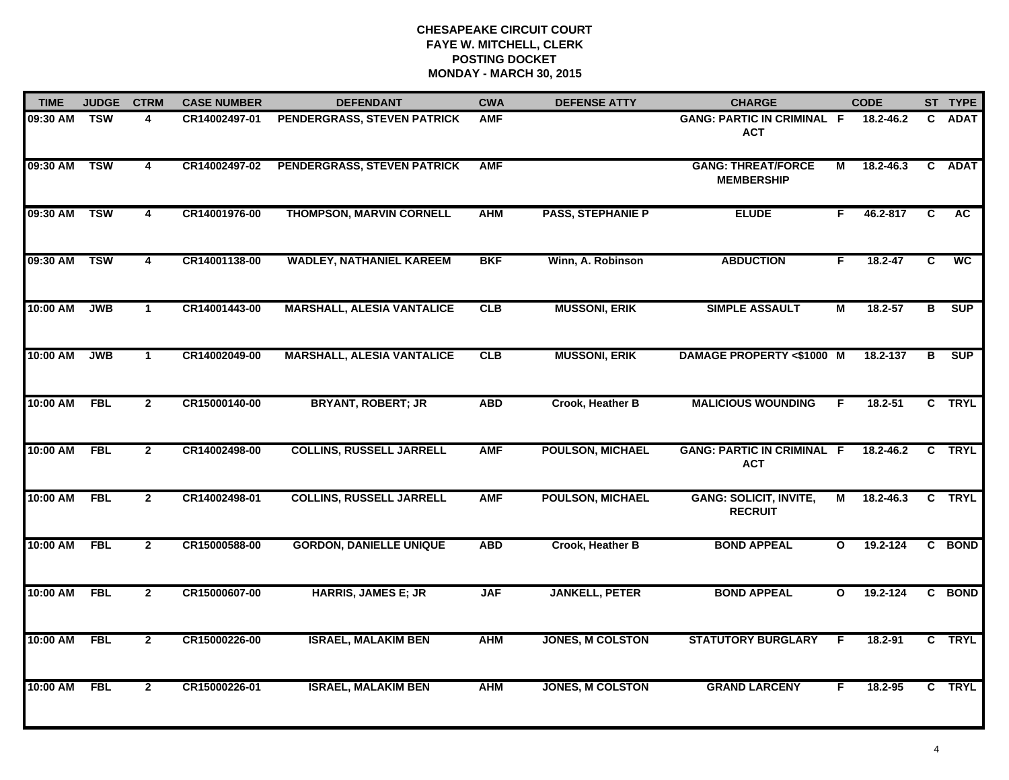| <b>TIME</b>  | <b>JUDGE</b> | <b>CTRM</b>    | <b>CASE NUMBER</b> | <b>DEFENDANT</b>                  | <b>CWA</b> | <b>DEFENSE ATTY</b>      | <b>CHARGE</b>                                   | <b>CODE</b>  |               |                | ST TYPE     |
|--------------|--------------|----------------|--------------------|-----------------------------------|------------|--------------------------|-------------------------------------------------|--------------|---------------|----------------|-------------|
| 09:30 AM TSW |              | 4              | CR14002497-01      | PENDERGRASS, STEVEN PATRICK       | <b>AMF</b> |                          | <b>GANG: PARTIC IN CRIMINAL F</b><br><b>ACT</b> |              | 18.2-46.2     | C.             | <b>ADAT</b> |
| 09:30 AM     | <b>TSW</b>   | 4              | CR14002497-02      | PENDERGRASS, STEVEN PATRICK       | <b>AMF</b> |                          | <b>GANG: THREAT/FORCE</b><br><b>MEMBERSHIP</b>  | М            | $18.2 - 46.3$ | C              | <b>ADAT</b> |
| 09:30 AM     | <b>TSW</b>   | 4              | CR14001976-00      | <b>THOMPSON, MARVIN CORNELL</b>   | <b>AHM</b> | <b>PASS, STEPHANIE P</b> | <b>ELUDE</b>                                    | F            | 46.2-817      | C              | <b>AC</b>   |
| 09:30 AM     | <b>TSW</b>   | 4              | CR14001138-00      | <b>WADLEY, NATHANIEL KAREEM</b>   | <b>BKF</b> | Winn, A. Robinson        | <b>ABDUCTION</b>                                | F            | $18.2 - 47$   | C              | <b>WC</b>   |
| 10:00 AM     | <b>JWB</b>   | $\mathbf{1}$   | CR14001443-00      | <b>MARSHALL, ALESIA VANTALICE</b> | CLB        | <b>MUSSONI, ERIK</b>     | <b>SIMPLE ASSAULT</b>                           | М            | 18.2-57       | в              | SUP         |
| 10:00 AM     | <b>JWB</b>   | $\mathbf 1$    | CR14002049-00      | <b>MARSHALL, ALESIA VANTALICE</b> | CLB        | <b>MUSSONI, ERIK</b>     | <b>DAMAGE PROPERTY &lt;\$1000 M</b>             |              | 18.2-137      | в              | <b>SUP</b>  |
| 10:00 AM     | FBL          | $\overline{2}$ | CR15000140-00      | <b>BRYANT, ROBERT; JR</b>         | <b>ABD</b> | Crook, Heather B         | <b>MALICIOUS WOUNDING</b>                       | F.           | $18.2 - 51$   | $\overline{c}$ | <b>TRYL</b> |
| 10:00 AM     | <b>FBL</b>   | $\mathbf{2}$   | CR14002498-00      | <b>COLLINS, RUSSELL JARRELL</b>   | <b>AMF</b> | <b>POULSON, MICHAEL</b>  | <b>GANG: PARTIC IN CRIMINAL F</b><br><b>ACT</b> |              | 18.2-46.2     |                | C TRYL      |
| 10:00 AM     | <b>FBL</b>   | $\mathbf{2}$   | CR14002498-01      | <b>COLLINS, RUSSELL JARRELL</b>   | <b>AMF</b> | <b>POULSON, MICHAEL</b>  | <b>GANG: SOLICIT, INVITE,</b><br><b>RECRUIT</b> | М            | 18.2-46.3     |                | C TRYL      |
| 10:00 AM     | <b>FBL</b>   | $\overline{2}$ | CR15000588-00      | <b>GORDON, DANIELLE UNIQUE</b>    | <b>ABD</b> | Crook, Heather B         | <b>BOND APPEAL</b>                              | $\mathbf{o}$ | $19.2 - 124$  |                | C BOND      |
| 10:00 AM     | <b>FBL</b>   | $\mathbf{2}$   | CR15000607-00      | <b>HARRIS, JAMES E; JR</b>        | <b>JAF</b> | <b>JANKELL, PETER</b>    | <b>BOND APPEAL</b>                              | $\mathbf{o}$ | 19.2-124      |                | C BOND      |
| 10:00 AM     | <b>FBL</b>   | $\overline{2}$ | CR15000226-00      | <b>ISRAEL, MALAKIM BEN</b>        | <b>AHM</b> | <b>JONES, M COLSTON</b>  | <b>STATUTORY BURGLARY</b>                       | F.           | 18.2-91       |                | C TRYL      |
| 10:00 AM     | <b>FBL</b>   | $\mathbf{2}$   | CR15000226-01      | <b>ISRAEL, MALAKIM BEN</b>        | <b>AHM</b> | <b>JONES, M COLSTON</b>  | <b>GRAND LARCENY</b>                            | F            | 18.2-95       |                | C TRYL      |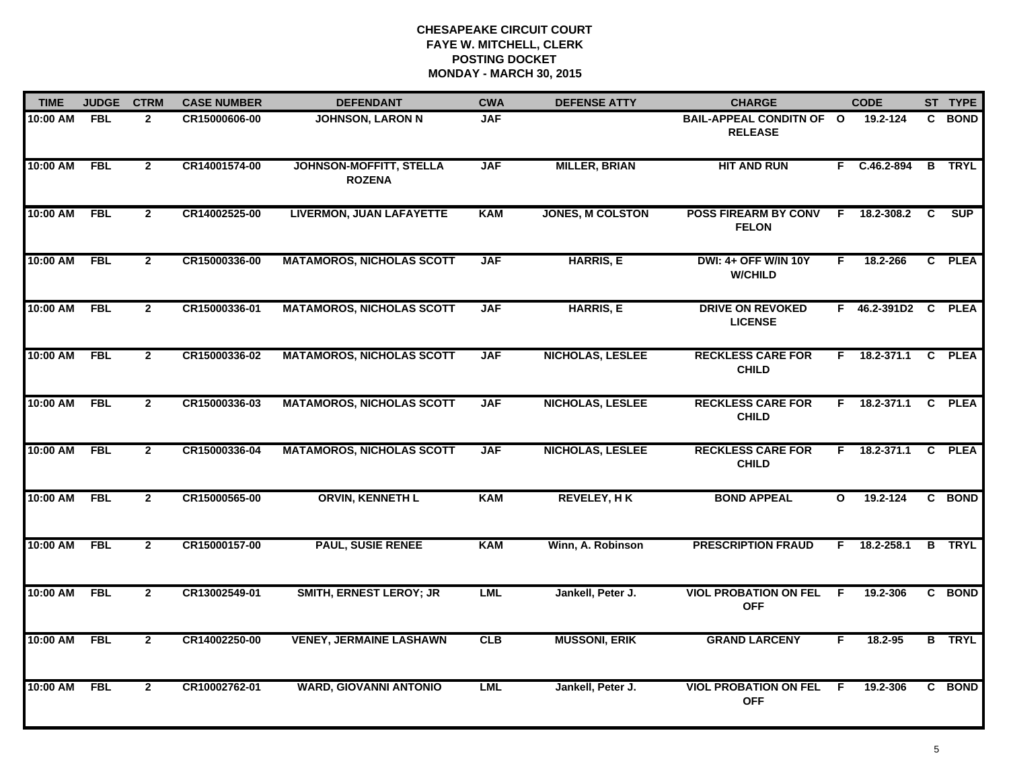| <b>TIME</b> | <b>JUDGE</b> | <b>CTRM</b>    | <b>CASE NUMBER</b> | <b>DEFENDANT</b>                                | <b>CWA</b> | <b>DEFENSE ATTY</b>     | <b>CHARGE</b>                                 | <b>CODE</b>  |                     |   | ST TYPE       |
|-------------|--------------|----------------|--------------------|-------------------------------------------------|------------|-------------------------|-----------------------------------------------|--------------|---------------------|---|---------------|
| 10:00 AM    | <b>FBL</b>   | $\overline{2}$ | CR15000606-00      | <b>JOHNSON, LARON N</b>                         | <b>JAF</b> |                         | BAIL-APPEAL CONDITN OF O<br><b>RELEASE</b>    |              | 19.2-124            |   | C BOND        |
| 10:00 AM    | FBL          | $\mathbf{2}$   | CR14001574-00      | <b>JOHNSON-MOFFITT, STELLA</b><br><b>ROZENA</b> | <b>JAF</b> | <b>MILLER, BRIAN</b>    | <b>HIT AND RUN</b>                            |              | F C.46.2-894        | B | <b>TRYL</b>   |
| 10:00 AM    | <b>FBL</b>   | $\mathbf{2}$   | CR14002525-00      | <b>LIVERMON, JUAN LAFAYETTE</b>                 | <b>KAM</b> | <b>JONES, M COLSTON</b> | <b>POSS FIREARM BY CONV</b><br><b>FELON</b>   | F            | 18.2-308.2          | C | <b>SUP</b>    |
| 10:00 AM    | <b>FBL</b>   | $\mathbf{2}$   | CR15000336-00      | <b>MATAMOROS, NICHOLAS SCOTT</b>                | <b>JAF</b> | <b>HARRIS, E</b>        | <b>DWI: 4+ OFF W/IN 10Y</b><br><b>W/CHILD</b> | F.           | 18.2-266            |   | C PLEA        |
| 10:00 AM    | <b>FBL</b>   | $\mathbf{2}$   | CR15000336-01      | <b>MATAMOROS, NICHOLAS SCOTT</b>                | <b>JAF</b> | <b>HARRIS, E</b>        | <b>DRIVE ON REVOKED</b><br><b>LICENSE</b>     |              | F 46.2-391D2 C PLEA |   |               |
| 10:00 AM    | <b>FBL</b>   | $\overline{2}$ | CR15000336-02      | <b>MATAMOROS, NICHOLAS SCOTT</b>                | <b>JAF</b> | <b>NICHOLAS, LESLEE</b> | <b>RECKLESS CARE FOR</b><br><b>CHILD</b>      |              | $F = 18.2 - 371.1$  |   | C PLEA        |
| 10:00 AM    | <b>FBL</b>   | $\mathbf{2}$   | CR15000336-03      | <b>MATAMOROS, NICHOLAS SCOTT</b>                | <b>JAF</b> | <b>NICHOLAS, LESLEE</b> | <b>RECKLESS CARE FOR</b><br><b>CHILD</b>      |              | $F = 18.2 - 371.1$  |   | C PLEA        |
| 10:00 AM    | <b>FBL</b>   | $\mathbf{2}$   | CR15000336-04      | <b>MATAMOROS, NICHOLAS SCOTT</b>                | <b>JAF</b> | <b>NICHOLAS, LESLEE</b> | <b>RECKLESS CARE FOR</b><br><b>CHILD</b>      |              | F 18.2-371.1        | C | <b>PLEA</b>   |
| 10:00 AM    | <b>FBL</b>   | $\overline{2}$ | CR15000565-00      | <b>ORVIN, KENNETH L</b>                         | <b>KAM</b> | <b>REVELEY, HK</b>      | <b>BOND APPEAL</b>                            | $\mathbf{o}$ | 19.2-124            |   | C BOND        |
| 10:00 AM    | <b>FBL</b>   | $\overline{2}$ | CR15000157-00      | <b>PAUL, SUSIE RENEE</b>                        | <b>KAM</b> | Winn, A. Robinson       | <b>PRESCRIPTION FRAUD</b>                     |              | F 18.2-258.1        |   | <b>B</b> TRYL |
| 10:00 AM    | <b>FBL</b>   | $\overline{2}$ | CR13002549-01      | <b>SMITH, ERNEST LEROY; JR</b>                  | <b>LML</b> | Jankell, Peter J.       | <b>VIOL PROBATION ON FEL F</b><br><b>OFF</b>  |              | 19.2-306            |   | C BOND        |
| 10:00 AM    | FBL          | $\mathbf{2}$   | CR14002250-00      | <b>VENEY, JERMAINE LASHAWN</b>                  | CLB        | <b>MUSSONI, ERIK</b>    | <b>GRAND LARCENY</b>                          | F.           | 18.2-95             |   | <b>B</b> TRYL |
| 10:00 AM    | <b>FBL</b>   | $\mathbf{2}$   | CR10002762-01      | <b>WARD, GIOVANNI ANTONIO</b>                   | <b>LML</b> | Jankell, Peter J.       | <b>VIOL PROBATION ON FEL</b><br><b>OFF</b>    | -F           | 19.2-306            |   | C BOND        |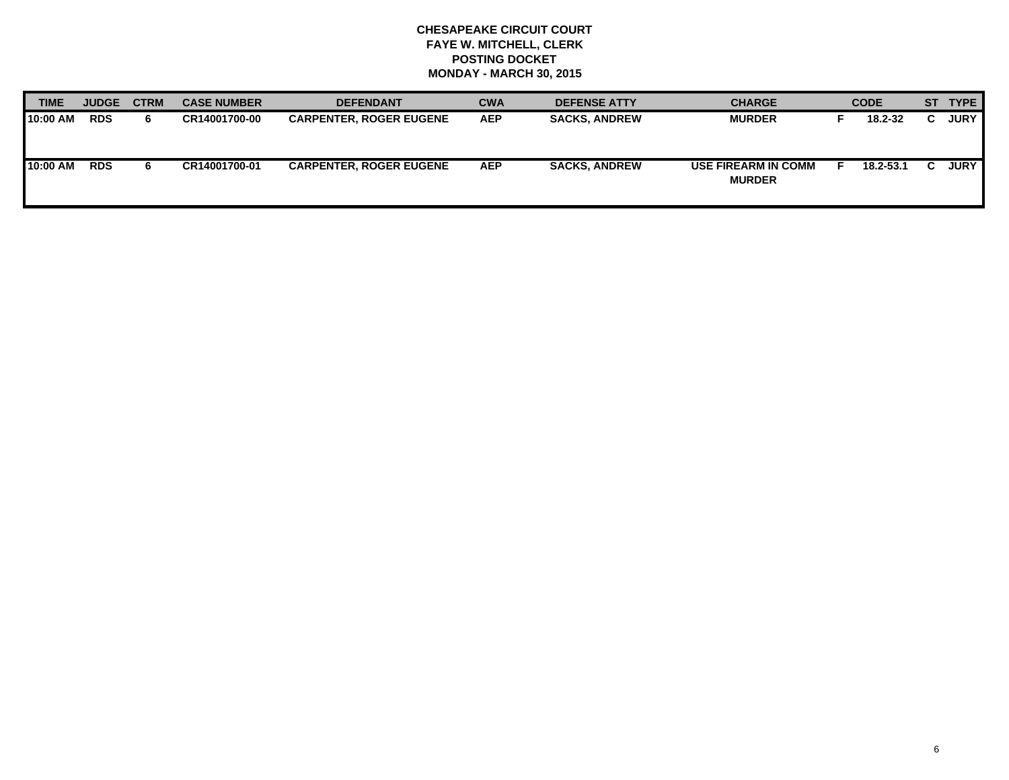| <b>TIME</b> | <b>JUDGE</b> | <b>CTRM</b> | <b>CASE NUMBER</b> | <b>DEFENDANT</b>               | <b>CWA</b> | <b>DEFENSE ATTY</b>  | <b>CHARGE</b>                               | <b>CODE</b> | ST TYPE     |
|-------------|--------------|-------------|--------------------|--------------------------------|------------|----------------------|---------------------------------------------|-------------|-------------|
| 10:00 AM    | <b>RDS</b>   | 6.          | CR14001700-00      | <b>CARPENTER, ROGER EUGENE</b> | <b>AEP</b> | <b>SACKS, ANDREW</b> | <b>MURDER</b>                               | 18.2-32     | <b>JURY</b> |
| 10:00 AM    | <b>RDS</b>   | 6.          | CR14001700-01      | <b>CARPENTER, ROGER EUGENE</b> | <b>AEP</b> | <b>SACKS, ANDREW</b> | <b>USE FIREARM IN COMM</b><br><b>MURDER</b> | 18.2-53.1   | <b>JURY</b> |